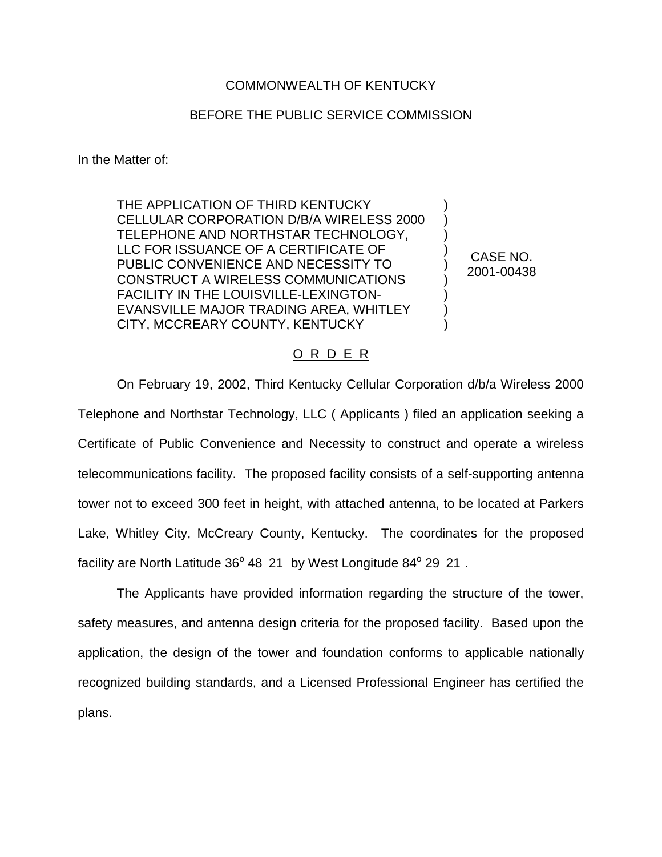## COMMONWEALTH OF KENTUCKY

## BEFORE THE PUBLIC SERVICE COMMISSION

In the Matter of:

THE APPLICATION OF THIRD KENTUCKY CELLULAR CORPORATION D/B/A WIRELESS 2000 TELEPHONE AND NORTHSTAR TECHNOLOGY, LLC FOR ISSUANCE OF A CERTIFICATE OF PUBLIC CONVENIENCE AND NECESSITY TO CONSTRUCT A WIRELESS COMMUNICATIONS FACILITY IN THE LOUISVILLE-LEXINGTON-EVANSVILLE MAJOR TRADING AREA, WHITLEY CITY, MCCREARY COUNTY, KENTUCKY

CASE NO. 2001-00438

) ) ) ) ) ) ) ) )

## O R D E R

On February 19, 2002, Third Kentucky Cellular Corporation d/b/a Wireless 2000 Telephone and Northstar Technology, LLC ( Applicants ) filed an application seeking a Certificate of Public Convenience and Necessity to construct and operate a wireless telecommunications facility. The proposed facility consists of a self-supporting antenna tower not to exceed 300 feet in height, with attached antenna, to be located at Parkers Lake, Whitley City, McCreary County, Kentucky. The coordinates for the proposed facility are North Latitude 36° 48 21 by West Longitude 84° 29 21.

The Applicants have provided information regarding the structure of the tower, safety measures, and antenna design criteria for the proposed facility. Based upon the application, the design of the tower and foundation conforms to applicable nationally recognized building standards, and a Licensed Professional Engineer has certified the plans.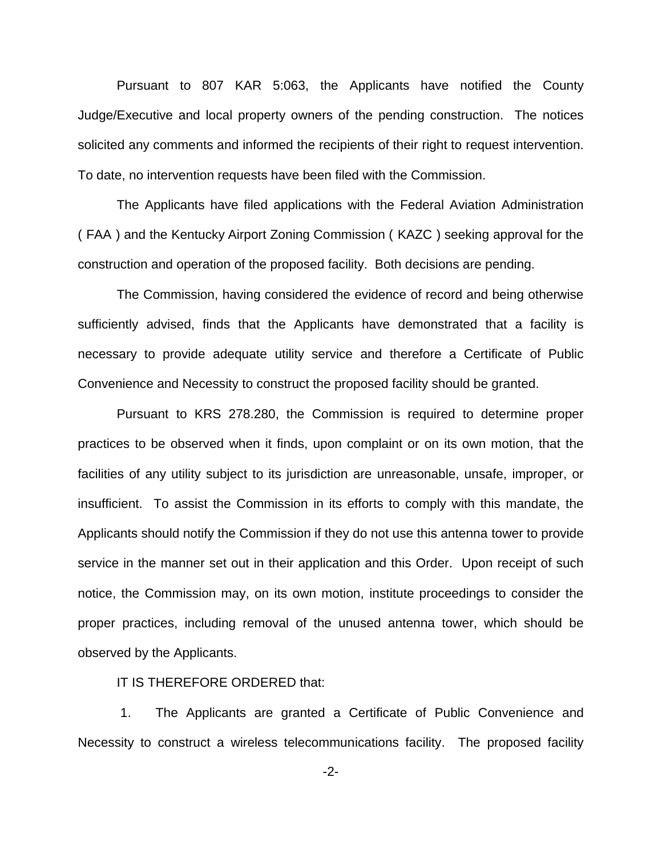Pursuant to 807 KAR 5:063, the Applicants have notified the County Judge/Executive and local property owners of the pending construction. The notices solicited any comments and informed the recipients of their right to request intervention. To date, no intervention requests have been filed with the Commission.

The Applicants have filed applications with the Federal Aviation Administration ( FAA ) and the Kentucky Airport Zoning Commission ( KAZC ) seeking approval for the construction and operation of the proposed facility. Both decisions are pending.

The Commission, having considered the evidence of record and being otherwise sufficiently advised, finds that the Applicants have demonstrated that a facility is necessary to provide adequate utility service and therefore a Certificate of Public Convenience and Necessity to construct the proposed facility should be granted.

Pursuant to KRS 278.280, the Commission is required to determine proper practices to be observed when it finds, upon complaint or on its own motion, that the facilities of any utility subject to its jurisdiction are unreasonable, unsafe, improper, or insufficient. To assist the Commission in its efforts to comply with this mandate, the Applicants should notify the Commission if they do not use this antenna tower to provide service in the manner set out in their application and this Order. Upon receipt of such notice, the Commission may, on its own motion, institute proceedings to consider the proper practices, including removal of the unused antenna tower, which should be observed by the Applicants.

## IT IS THEREFORE ORDERED that:

1. The Applicants are granted a Certificate of Public Convenience and Necessity to construct a wireless telecommunications facility. The proposed facility

-2-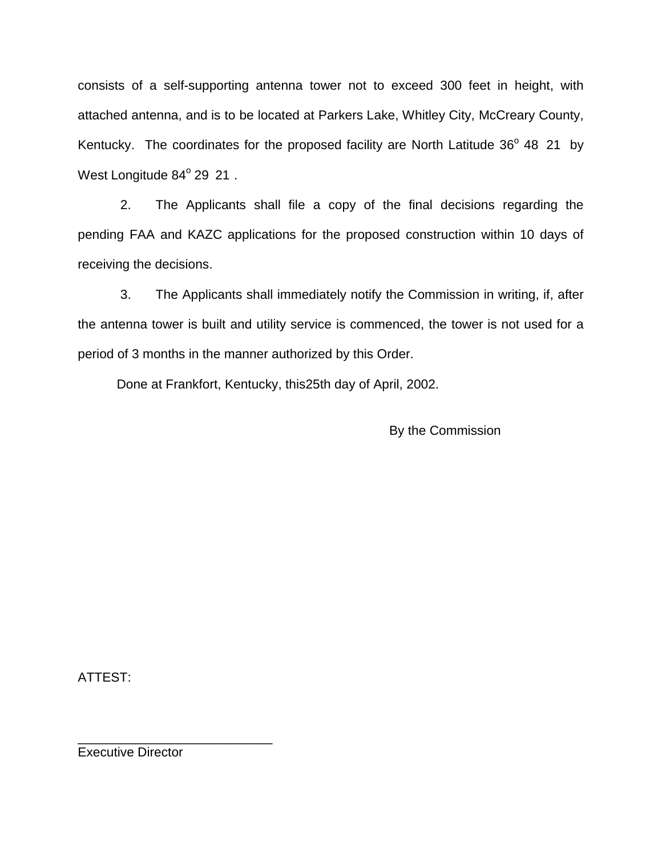consists of a self-supporting antenna tower not to exceed 300 feet in height, with attached antenna, and is to be located at Parkers Lake, Whitley City, McCreary County, Kentucky. The coordinates for the proposed facility are North Latitude 36° 48 21 by West Longitude 84° 29 21.

2. The Applicants shall file a copy of the final decisions regarding the pending FAA and KAZC applications for the proposed construction within 10 days of receiving the decisions.

3. The Applicants shall immediately notify the Commission in writing, if, after the antenna tower is built and utility service is commenced, the tower is not used for a period of 3 months in the manner authorized by this Order.

Done at Frankfort, Kentucky, this25th day of April, 2002.

By the Commission

ATTEST:

Executive Director

\_\_\_\_\_\_\_\_\_\_\_\_\_\_\_\_\_\_\_\_\_\_\_\_\_\_\_